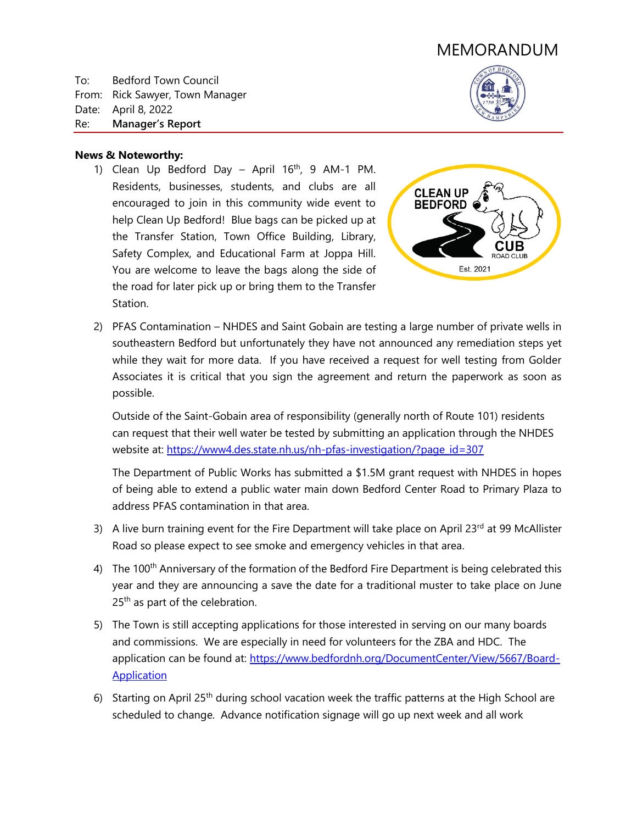# MEMORANDUM

To: Bedford Town Council From: Rick Sawyer, Town Manager Date: April 8, 2022 Re: **Manager's Report**



### **News & Noteworthy:**

1) Clean Up Bedford Day – April  $16<sup>th</sup>$ , 9 AM-1 PM. Residents, businesses, students, and clubs are all encouraged to join in this community wide event to help Clean Up Bedford! Blue bags can be picked up at the Transfer Station, Town Office Building, Library, Safety Complex, and Educational Farm at Joppa Hill. You are welcome to leave the bags along the side of the road for later pick up or bring them to the Transfer Station.



2) PFAS Contamination – NHDES and Saint Gobain are testing a large number of private wells in southeastern Bedford but unfortunately they have not announced any remediation steps yet while they wait for more data. If you have received a request for well testing from Golder Associates it is critical that you sign the agreement and return the paperwork as soon as possible.

Outside of the Saint-Gobain area of responsibility (generally north of Route 101) residents can request that their well water be tested by submitting an application through the NHDES website at: [https://www4.des.state.nh.us/nh-pfas-investigation/?page\\_id=307](https://www4.des.state.nh.us/nh-pfas-investigation/?page_id=307)

The Department of Public Works has submitted a \$1.5M grant request with NHDES in hopes of being able to extend a public water main down Bedford Center Road to Primary Plaza to address PFAS contamination in that area.

- 3) A live burn training event for the Fire Department will take place on April 23 $^{\text{rd}}$  at 99 McAllister Road so please expect to see smoke and emergency vehicles in that area.
- 4) The 100<sup>th</sup> Anniversary of the formation of the Bedford Fire Department is being celebrated this year and they are announcing a save the date for a traditional muster to take place on June 25<sup>th</sup> as part of the celebration.
- 5) The Town is still accepting applications for those interested in serving on our many boards and commissions. We are especially in need for volunteers for the ZBA and HDC. The application can be found at: [https://www.bedfordnh.org/DocumentCenter/View/5667/Board-](https://www.bedfordnh.org/DocumentCenter/View/5667/Board-Application)**Application**
- 6) Starting on April 25<sup>th</sup> during school vacation week the traffic patterns at the High School are scheduled to change. Advance notification signage will go up next week and all work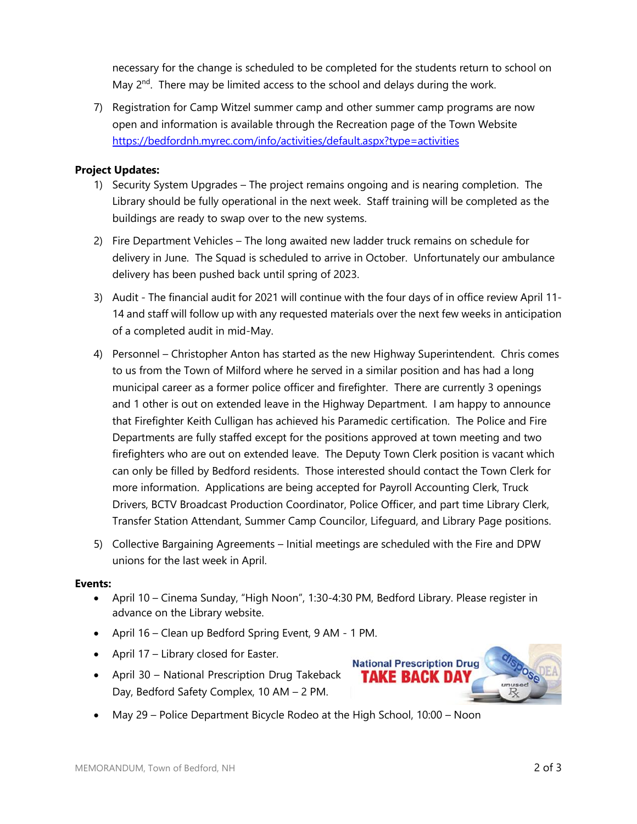necessary for the change is scheduled to be completed for the students return to school on May  $2<sup>nd</sup>$ . There may be limited access to the school and delays during the work.

7) Registration for Camp Witzel summer camp and other summer camp programs are now open and information is available through the Recreation page of the Town Website <https://bedfordnh.myrec.com/info/activities/default.aspx?type=activities>

## **Project Updates:**

- 1) Security System Upgrades The project remains ongoing and is nearing completion. The Library should be fully operational in the next week. Staff training will be completed as the buildings are ready to swap over to the new systems.
- 2) Fire Department Vehicles The long awaited new ladder truck remains on schedule for delivery in June. The Squad is scheduled to arrive in October. Unfortunately our ambulance delivery has been pushed back until spring of 2023.
- 3) Audit The financial audit for 2021 will continue with the four days of in office review April 11- 14 and staff will follow up with any requested materials over the next few weeks in anticipation of a completed audit in mid-May.
- 4) Personnel Christopher Anton has started as the new Highway Superintendent. Chris comes to us from the Town of Milford where he served in a similar position and has had a long municipal career as a former police officer and firefighter. There are currently 3 openings and 1 other is out on extended leave in the Highway Department. I am happy to announce that Firefighter Keith Culligan has achieved his Paramedic certification. The Police and Fire Departments are fully staffed except for the positions approved at town meeting and two firefighters who are out on extended leave. The Deputy Town Clerk position is vacant which can only be filled by Bedford residents. Those interested should contact the Town Clerk for more information. Applications are being accepted for Payroll Accounting Clerk, Truck Drivers, BCTV Broadcast Production Coordinator, Police Officer, and part time Library Clerk, Transfer Station Attendant, Summer Camp Councilor, Lifeguard, and Library Page positions.
- 5) Collective Bargaining Agreements Initial meetings are scheduled with the Fire and DPW unions for the last week in April.

### **Events:**

- April 10 Cinema Sunday, "High Noon", 1:30-4:30 PM, Bedford Library. Please register in advance on the Library website.
- April 16 Clean up Bedford Spring Event, 9 AM 1 PM.
- April 17 Library closed for Easter.
- April 30 National Prescription Drug Takeback Day, Bedford Safety Complex, 10 AM – 2 PM.



May 29 – Police Department Bicycle Rodeo at the High School, 10:00 – Noon